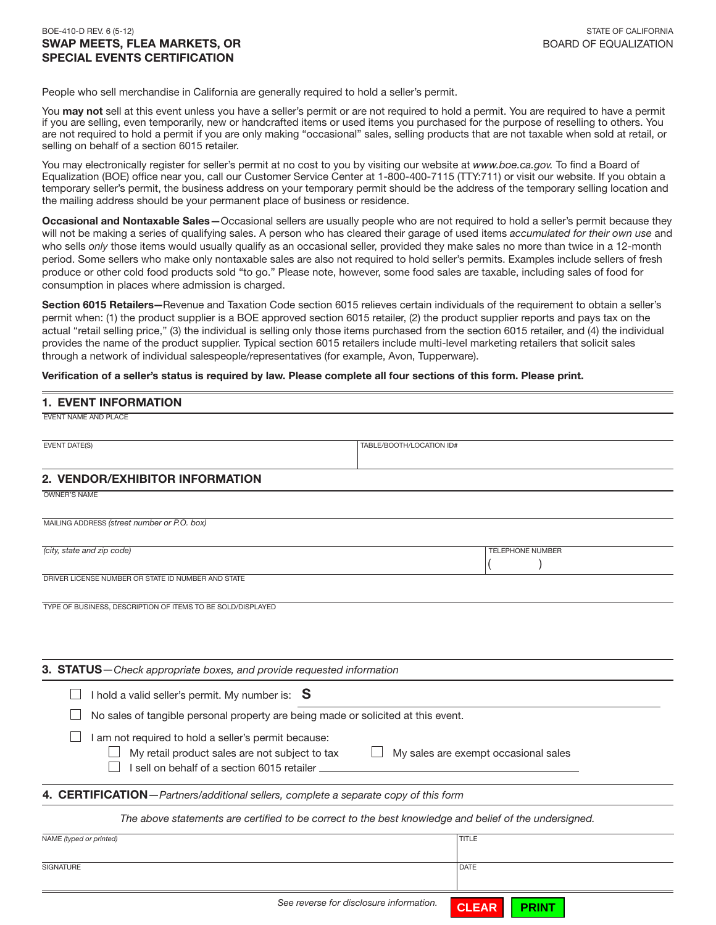#### BOE-410-D REV. 6 (5-12) STATE OF CALIFORNIA SWAP MEETS, FLEA MARKETS, OR BOARD OF EQUALIZATION SPECIAL EVENTS CERTIFICATION

People who sell merchandise in California are generally required to hold a seller's permit.

You may not sell at this event unless you have a seller's permit or are not required to hold a permit. You are required to have a permit if you are selling, even temporarily, new or handcrafted items or used items you purchased for the purpose of reselling to others. You are not required to hold a permit if you are only making "occasional" sales, selling products that are not taxable when sold at retail, or selling on behalf of a section 6015 retailer.

You may electronically register for seller's permit at no cost to you by visiting our website at *www.boe.ca.gov.* To find a Board of Equalization (BOE) office near you, call our Customer Service Center at 1-800-400-7115 (TTY:711) or visit our website. If you obtain a temporary seller's permit, the business address on your temporary permit should be the address of the temporary selling location and the mailing address should be your permanent place of business or residence.

Occasional and Nontaxable Sales-Occasional sellers are usually people who are not required to hold a seller's permit because they will not be making a series of qualifying sales. A person who has cleared their garage of used items *accumulated for their own use* and who sells *only* those items would usually qualify as an occasional seller, provided they make sales no more than twice in a 12-month period. Some sellers who make only nontaxable sales are also not required to hold seller's permits. Examples include sellers of fresh produce or other cold food products sold "to go." Please note, however, some food sales are taxable, including sales of food for consumption in places where admission is charged.

Section 6015 Retailers-Revenue and Taxation Code section 6015 relieves certain individuals of the requirement to obtain a seller's permit when: (1) the product supplier is a BOE approved section 6015 retailer, (2) the product supplier reports and pays tax on the actual "retail selling price," (3) the individual is selling only those items purchased from the section 6015 retailer, and (4) the individual provides the name of the product supplier. Typical section 6015 retailers include multi-level marketing retailers that solicit sales through a network of individual salespeople/representatives (for example, Avon, Tupperware).

Verification of a seller's status is required by law. Please complete all four sections of this form. Please print.

| <b>1. EVENT INFORMATION</b>                                                                                                                           |                                                                                                       |
|-------------------------------------------------------------------------------------------------------------------------------------------------------|-------------------------------------------------------------------------------------------------------|
| <b>EVENT NAME AND PLACE</b>                                                                                                                           |                                                                                                       |
| <b>EVENT DATE(S)</b>                                                                                                                                  | TABLE/BOOTH/LOCATION ID#                                                                              |
| 2. VENDOR/EXHIBITOR INFORMATION                                                                                                                       |                                                                                                       |
| <b>OWNER'S NAME</b>                                                                                                                                   |                                                                                                       |
| MAILING ADDRESS (street number or P.O. box)                                                                                                           |                                                                                                       |
| (city, state and zip code)                                                                                                                            | TELEPHONE NUMBER                                                                                      |
| DRIVER LICENSE NUMBER OR STATE ID NUMBER AND STATE                                                                                                    |                                                                                                       |
| 3. STATUS-Check appropriate boxes, and provide requested information                                                                                  |                                                                                                       |
| I hold a valid seller's permit. My number is: $S$                                                                                                     |                                                                                                       |
| No sales of tangible personal property are being made or solicited at this event.                                                                     |                                                                                                       |
| I am not required to hold a seller's permit because:<br>My retail product sales are not subject to tax<br>I sell on behalf of a section 6015 retailer | My sales are exempt occasional sales                                                                  |
| 4. CERTIFICATION-Partners/additional sellers, complete a separate copy of this form                                                                   |                                                                                                       |
|                                                                                                                                                       | The above statements are certified to be correct to the best knowledge and belief of the undersigned. |
| NAME (typed or printed)                                                                                                                               | <b>TITLE</b>                                                                                          |
| <b>SIGNATURE</b>                                                                                                                                      | <b>DATE</b>                                                                                           |